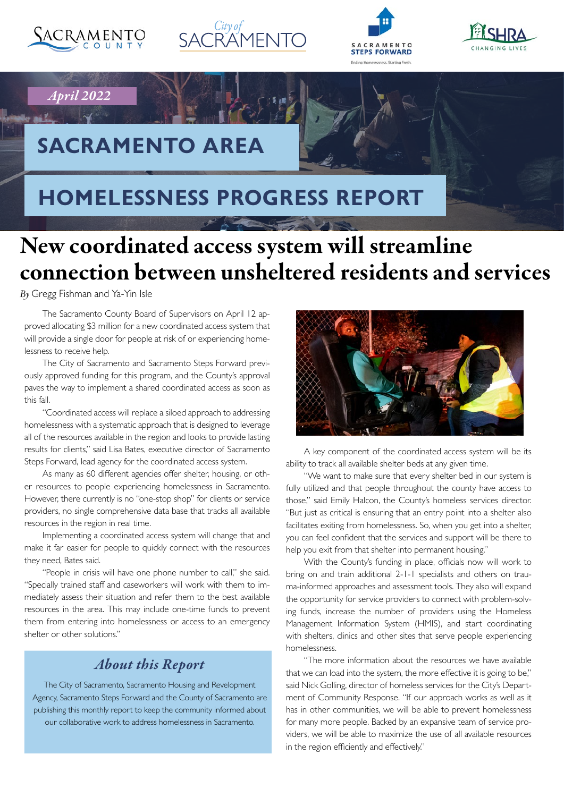

*April 2022*







# **SACRAMENTO AREA**

## **HOMELESSNESS PROGRESS REPORT**

# New coordinated access system will streamline connection between unsheltered residents and services

*By* Gregg Fishman and Ya-Yin Isle

The Sacramento County Board of Supervisors on April 12 approved allocating \$3 million for a new coordinated access system that will provide a single door for people at risk of or experiencing homelessness to receive help.

The City of Sacramento and Sacramento Steps Forward previously approved funding for this program, and the County's approval paves the way to implement a shared coordinated access as soon as this fall.

"Coordinated access will replace a siloed approach to addressing homelessness with a systematic approach that is designed to leverage all of the resources available in the region and looks to provide lasting results for clients," said Lisa Bates, executive director of Sacramento Steps Forward, lead agency for the coordinated access system.

As many as 60 different agencies offer shelter, housing, or other resources to people experiencing homelessness in Sacramento. However, there currently is no "one-stop shop" for clients or service providers, no single comprehensive data base that tracks all available resources in the region in real time.

Implementing a coordinated access system will change that and make it far easier for people to quickly connect with the resources they need, Bates said.

"People in crisis will have one phone number to call," she said. "Specially trained staff and caseworkers will work with them to immediately assess their situation and refer them to the best available resources in the area. This may include one-time funds to prevent them from entering into homelessness or access to an emergency shelter or other solutions."

## *About this Report*

The City of Sacramento, Sacramento Housing and Revelopment Agency, Sacramento Steps Forward and the County of Sacramento are publishing this monthly report to keep the community informed about our collaborative work to address homelessness in Sacramento.



A key component of the coordinated access system will be its ability to track all available shelter beds at any given time.

"We want to make sure that every shelter bed in our system is fully utilized and that people throughout the county have access to those," said Emily Halcon, the County's homeless services director. "But just as critical is ensuring that an entry point into a shelter also facilitates exiting from homelessness. So, when you get into a shelter, you can feel confident that the services and support will be there to help you exit from that shelter into permanent housing."

With the County's funding in place, officials now will work to bring on and train additional 2-1-1 specialists and others on trauma-informed approaches and assessment tools. They also will expand the opportunity for service providers to connect with problem-solving funds, increase the number of providers using the Homeless Management Information System (HMIS), and start coordinating with shelters, clinics and other sites that serve people experiencing homelessness.

"The more information about the resources we have available that we can load into the system, the more effective it is going to be," said Nick Golling, director of homeless services for the City's Department of Community Response. "If our approach works as well as it has in other communities, we will be able to prevent homelessness for many more people. Backed by an expansive team of service providers, we will be able to maximize the use of all available resources in the region efficiently and effectively."